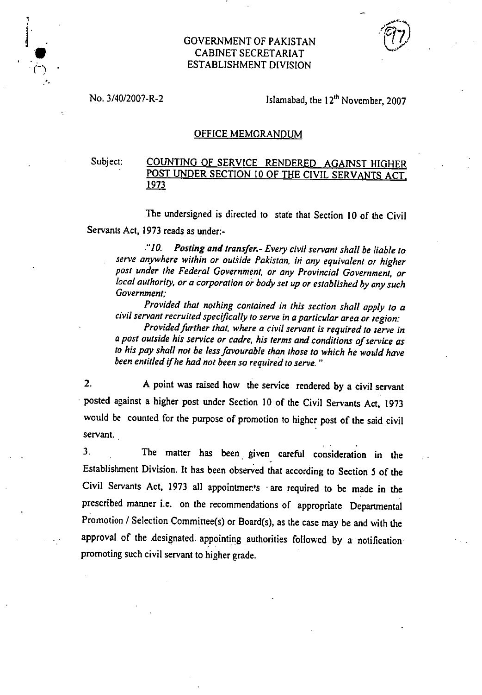## GOVERNMENT OF PAKISTAN CABINET SECRETARIAT ESTABLISHMENT DIVISION

No.  $3/40/2007 - R - 2$  Islamabad, the  $12<sup>th</sup>$  November, 2007

## OFFICE MEMORANDUM

## Subject: COUNTING OF SERVICE RENDERED AGAINST HIGHER POST UNDER SECTION 10 OF THE CIVIL SERVANTS ACT, 1973

The undersigned is directed to state that Section 10 of the Civil

Servants Act, 1973 reads as under:-

*"la Posting and transfer.- Every civil servant shall be liable to serve anywhere within or outside Pakistan, in any equivalent or higher post under the Federal Government, or any Provincial Government, or local authority, or a corporation or body set up or established by any such Government;* 

*Provided that nothing contained in this section shall apply to a civil servant recruited specifically to serve in a particular area or region:* 

*Provided further that, where a civil servant is required to serve in a post outside his service or cadre, his terms and conditions of service as to his pay shall not be less favourable than those to which he would have been entitled if he had not been so required to serve."* 

 $2.$ A point was raised how the service rendered by a civil servant posted against a higher post under Section 10 of the Civil Servants Act, 1973 would be counted for the purpose of promotion to higher post of the said civil servant.

 $3.$ The matter has been given careful consideration in the Establishment Division. It has been observed that according to Section 5 of the Civil Servants Act, 1973 all appointments are required to be made *in* the prescribed manner i.e. on the recommendations of appropriate Departmental Promotion / Selection Committee(s) or Board(s), as the case may be and with the approval of the designated appointing authorities followed by a notification promoting such civil servant to higher grade.